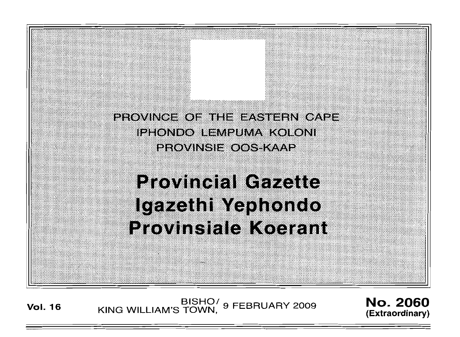PROVINCE OF THE EASTERN CAPE IPHONDO LEMPUMA KOLONI **PROVINSIE OOS-KAAP** 

**Provincial Gazette** Igazethi Yephondo **Provinsiale Koerant** 

BISHO<sup>/</sup> 9 FEBRUARY 2009 **No. 2060**<br>Vol. 16 KING WILLIAM'S TOWN, 9 FEBRUARY 2009 *(Extrema*tional)

**(Extraordinary)**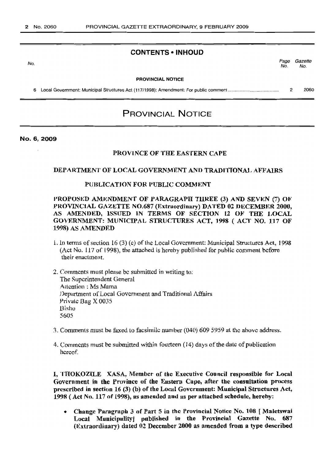### **CONTENTS -INHOUD**

No.

Page Gazette No. No.

#### PROVINCIAL NOTICE

6 Local Government: Municipal Structures Act (117/1998): Amendment: For public comment . 2 2060

# PROVINCIAL NOTICE

No.6,2009

#### PROVINCE OF THE EASTERN CAPE

#### DEPARTMENT OF LOCAL GOVERNMENT AND TRADITIONAL AFFAIRS

### PUBLICATJON FOR PUBLIC COMMENT

PROPOSED AMENDMENT OF PARAGRAPH TIJREE (3) AND SEVEN (7) OF PROVINCIAL GAZETTE NO.687 (Extraordinary) DATED 02 DECEMBER 2000, AS AMENDED, ISSUED IN TERMS OF SECTION 12 OF THE LOCAL GOVERNMENT: MUNICIPAL STRUCTURES ACT, 1998 (ACT NO. 117 OF 1998) AS AMENDED

- 1. In terms of section 16 (3) (c) of the Local Government: Municipal Structures Act, 1998 (Act No. 117 of (998), the attached is hereby published lor public comment before their enactment.
- 2. Comments must please be submitted in writing to: The Superintendent General Attention: Ms Mama Department of Local Government and Traditional Affairs Private Bag X 0035 Bisho 5605
- 1. Comments must be faxed to facsimile number (040) 609 5959 at the above address.
- 4. Comments must be submitted within fourteen (14) days ofthe dale ofpublication hereof

1, THOKOZILE XASA, Member of the Executive Council responsible for Local Government in the Province of the Eastern Cape, after the consultation process prescribed in section 16 (3) (b) of the Local Government: Municipal Structures Act, 1998 (Act No. 117 of 1998), as amended and as per attached schedule, hereby:

• Change Paragraph 3 of Part 5 in the Provincial Notice No. 108 [ Matetswai Local Municipality| published in the Provincial Gazette No. 687 (Extraordiaary) dated 02 December 2000 as amended from a type described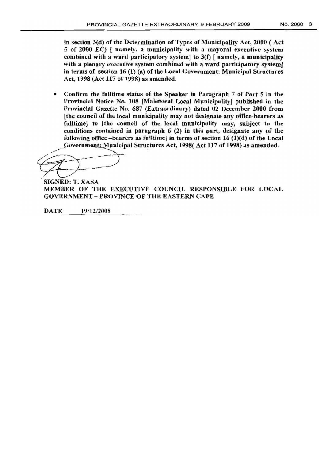in section 3(d) of the Determination of Types of Municipality Act, 2000 ( Act 5 of 2000 EC) { namely, a municipality with a mayoral executive system combined with a ward participatory system! to  $3(f)$  [ namely, a municipality with a plenary executive system combined with a ward participatory system] in terms of section 16 (1) (a) of the Local Guvernment: Municipal Structures Act, 1998 (Act 117 of 1998) as amended.

• Confirm the fulltime status of the Speaker in Paragraph 7 of Part 5 in the Provincia' Notice No. 108 [Maletswai Local Municipality} published in the Provincial Gazette No. 687 (Extraordinary) dated 02 December 2000 from [the council of the local municipality may not designate any office-bearers as fulltimej to [the council of the local municipality may, subject to the conditions contained in paragraph  $6(2)$  in this part, designate any of the following office -bearers as fulltimel in terms of section  $16 \text{ (1)}(d)$  of the Local Government: Municipal Structures Act, 1998(Act 117 of 1998) as amended.

 $\bigoplus$ 

SIGNED: T. XASA MEMBER OF THE EXECUTIVE COUNCIL RESPONSIBLE FOR LOCAL GOVERNMENT - PROVINCE OF THE EASTERN CAPE

DATE 19/12/2008